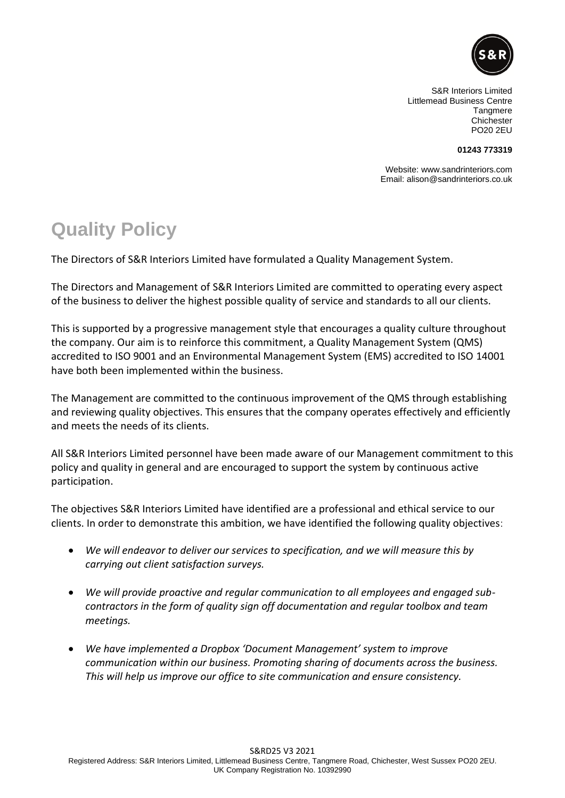

S&R Interiors Limited Littlemead Business Centre **Tangmere** Chichester PO20 2EU

## **01243 773319**

Website: www.sandrinteriors.com Email: alison@sandrinteriors.co.uk

## **Quality Policy**

The Directors of S&R Interiors Limited have formulated a Quality Management System.

The Directors and Management of S&R Interiors Limited are committed to operating every aspect of the business to deliver the highest possible quality of service and standards to all our clients.

This is supported by a progressive management style that encourages a quality culture throughout the company. Our aim is to reinforce this commitment, a Quality Management System (QMS) accredited to ISO 9001 and an Environmental Management System (EMS) accredited to ISO 14001 have both been implemented within the business.

The Management are committed to the continuous improvement of the QMS through establishing and reviewing quality objectives. This ensures that the company operates effectively and efficiently and meets the needs of its clients.

All S&R Interiors Limited personnel have been made aware of our Management commitment to this policy and quality in general and are encouraged to support the system by continuous active participation.

The objectives S&R Interiors Limited have identified are a professional and ethical service to our clients. In order to demonstrate this ambition, we have identified the following quality objectives:

- *We will endeavor to deliver our services to specification, and we will measure this by carrying out client satisfaction surveys.*
- *We will provide proactive and regular communication to all employees and engaged subcontractors in the form of quality sign off documentation and regular toolbox and team meetings.*
- *We have implemented a Dropbox 'Document Management' system to improve communication within our business. Promoting sharing of documents across the business. This will help us improve our office to site communication and ensure consistency.*